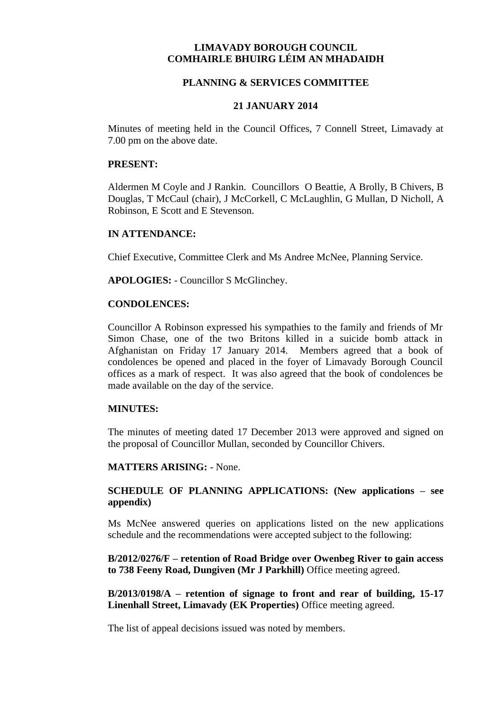# **LIMAVADY BOROUGH COUNCIL COMHAIRLE BHUIRG LÉIM AN MHADAIDH**

## **PLANNING & SERVICES COMMITTEE**

## **21 JANUARY 2014**

Minutes of meeting held in the Council Offices, 7 Connell Street, Limavady at 7.00 pm on the above date.

## **PRESENT:**

Aldermen M Coyle and J Rankin. Councillors O Beattie, A Brolly, B Chivers, B Douglas, T McCaul (chair), J McCorkell, C McLaughlin, G Mullan, D Nicholl, A Robinson, E Scott and E Stevenson.

## **IN ATTENDANCE:**

Chief Executive, Committee Clerk and Ms Andree McNee, Planning Service.

**APOLOGIES:** - Councillor S McGlinchey.

## **CONDOLENCES:**

Councillor A Robinson expressed his sympathies to the family and friends of Mr Simon Chase, one of the two Britons killed in a suicide bomb attack in Afghanistan on Friday 17 January 2014. Members agreed that a book of condolences be opened and placed in the foyer of Limavady Borough Council offices as a mark of respect. It was also agreed that the book of condolences be made available on the day of the service.

### **MINUTES:**

The minutes of meeting dated 17 December 2013 were approved and signed on the proposal of Councillor Mullan, seconded by Councillor Chivers.

#### **MATTERS ARISING:** - None.

# **SCHEDULE OF PLANNING APPLICATIONS: (New applications – see appendix)**

Ms McNee answered queries on applications listed on the new applications schedule and the recommendations were accepted subject to the following:

**B/2012/0276/F – retention of Road Bridge over Owenbeg River to gain access to 738 Feeny Road, Dungiven (Mr J Parkhill)** Office meeting agreed.

**B/2013/0198/A – retention of signage to front and rear of building, 15-17 Linenhall Street, Limavady (EK Properties)** Office meeting agreed.

The list of appeal decisions issued was noted by members.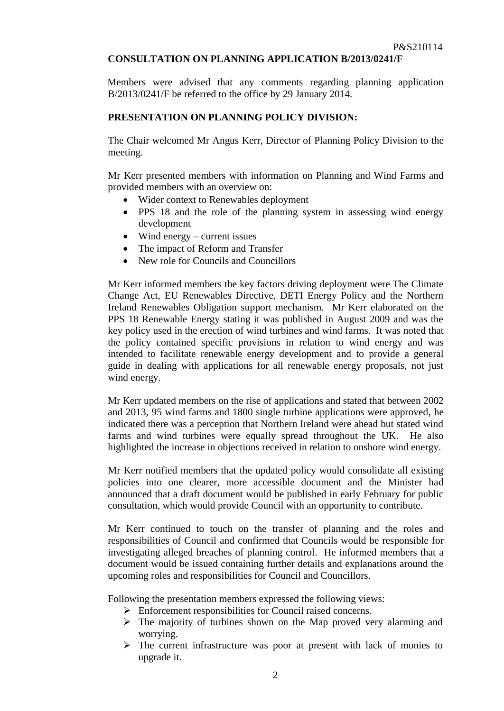# **CONSULTATION ON PLANNING APPLICATION B/2013/0241/F**

Members were advised that any comments regarding planning application B/2013/0241/F be referred to the office by 29 January 2014.

# **PRESENTATION ON PLANNING POLICY DIVISION:**

The Chair welcomed Mr Angus Kerr, Director of Planning Policy Division to the meeting.

Mr Kerr presented members with information on Planning and Wind Farms and provided members with an overview on:

- Wider context to Renewables deployment
- PPS 18 and the role of the planning system in assessing wind energy development
- $\bullet$  Wind energy current issues
- The impact of Reform and Transfer
- New role for Councils and Councillors

Mr Kerr informed members the key factors driving deployment were The Climate Change Act, EU Renewables Directive, DETI Energy Policy and the Northern Ireland Renewables Obligation support mechanism. Mr Kerr elaborated on the PPS 18 Renewable Energy stating it was published in August 2009 and was the key policy used in the erection of wind turbines and wind farms. It was noted that the policy contained specific provisions in relation to wind energy and was intended to facilitate renewable energy development and to provide a general guide in dealing with applications for all renewable energy proposals, not just wind energy.

Mr Kerr updated members on the rise of applications and stated that between 2002 and 2013, 95 wind farms and 1800 single turbine applications were approved, he indicated there was a perception that Northern Ireland were ahead but stated wind farms and wind turbines were equally spread throughout the UK. He also highlighted the increase in objections received in relation to onshore wind energy.

Mr Kerr notified members that the updated policy would consolidate all existing policies into one clearer, more accessible document and the Minister had announced that a draft document would be published in early February for public consultation, which would provide Council with an opportunity to contribute.

Mr Kerr continued to touch on the transfer of planning and the roles and responsibilities of Council and confirmed that Councils would be responsible for investigating alleged breaches of planning control. He informed members that a document would be issued containing further details and explanations around the upcoming roles and responsibilities for Council and Councillors.

Following the presentation members expressed the following views:

- Enforcement responsibilities for Council raised concerns.
- $\triangleright$  The majority of turbines shown on the Map proved very alarming and worrying.
- $\triangleright$  The current infrastructure was poor at present with lack of monies to upgrade it.